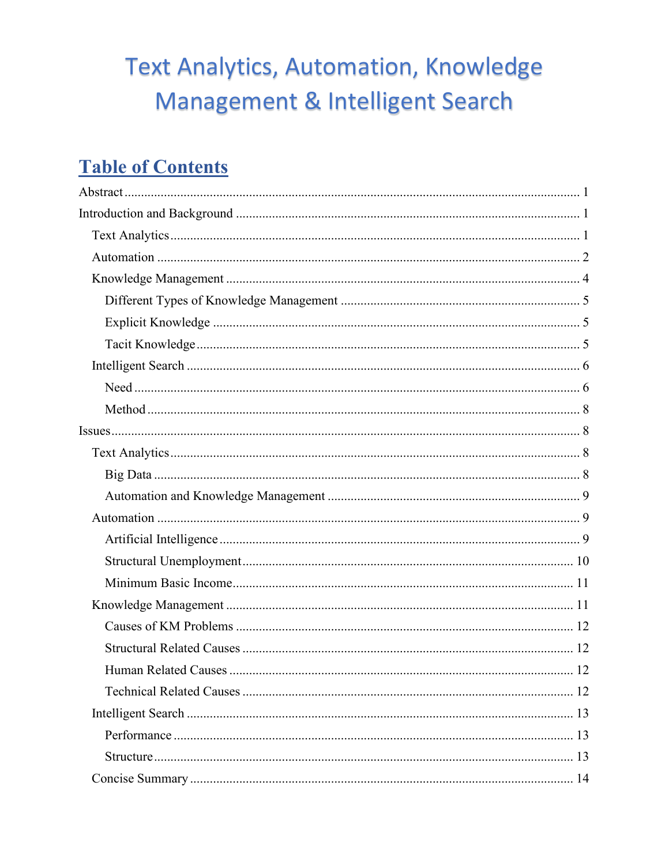# **Text Analytics, Automation, Knowledge** Management & Intelligent Search

## **Table of Contents**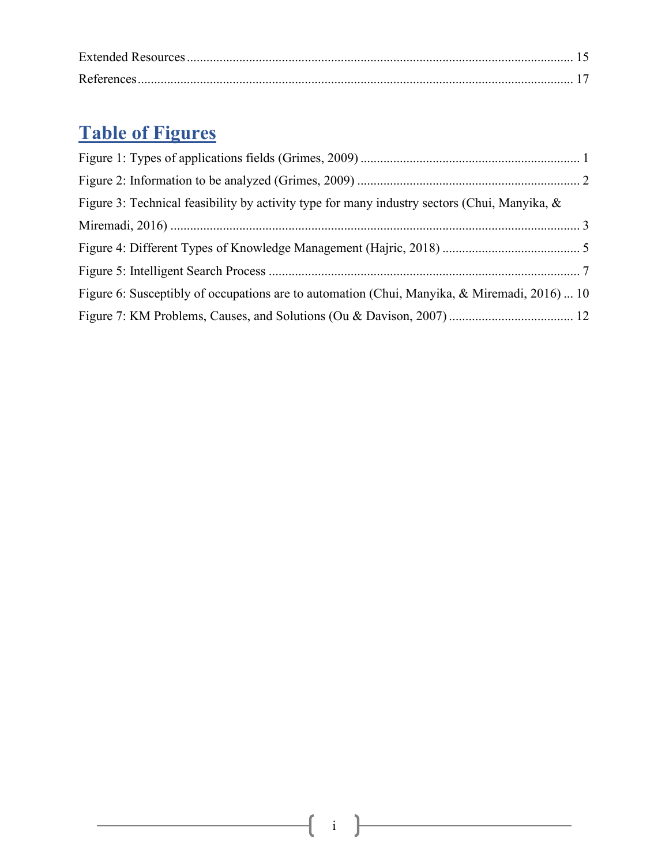## **Table of Figures**

| Figure 3: Technical feasibility by activity type for many industry sectors (Chui, Manyika, & |  |
|----------------------------------------------------------------------------------------------|--|
|                                                                                              |  |
|                                                                                              |  |
|                                                                                              |  |
| Figure 6: Susceptibly of occupations are to automation (Chui, Manyika, & Miremadi, 2016)  10 |  |
|                                                                                              |  |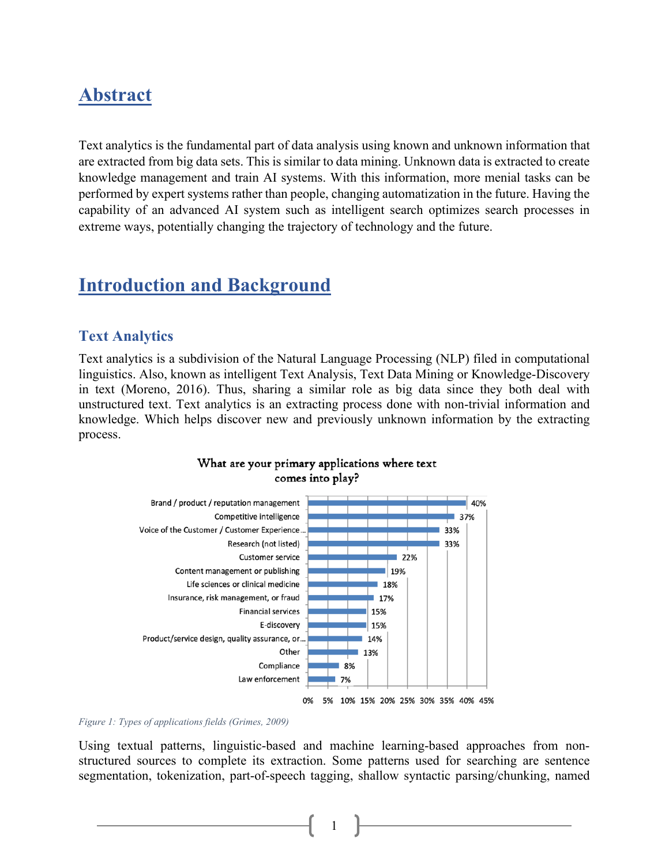## <span id="page-2-0"></span>**Abstract**

Text analytics is the fundamental part of data analysis using known and unknown information that are extracted from big data sets. This is similar to data mining. Unknown data is extracted to create knowledge management and train AI systems. With this information, more menial tasks can be performed by expert systems rather than people, changing automatization in the future. Having the capability of an advanced AI system such as intelligent search optimizes search processes in extreme ways, potentially changing the trajectory of technology and the future.

### <span id="page-2-1"></span>**Introduction and Background**

#### <span id="page-2-2"></span>**Text Analytics**

Text analytics is a subdivision of the Natural Language Processing (NLP) filed in computational linguistics. Also, known as intelligent Text Analysis, Text Data Mining or Knowledge-Discovery in text (Moreno, 2016). Thus, sharing a similar role as big data since they both deal with unstructured text. Text analytics is an extracting process done with non-trivial information and knowledge. Which helps discover new and previously unknown information by the extracting process.



#### What are your primary applications where text comes into play?

#### <span id="page-2-3"></span>*Figure 1: Types of applications fields (Grimes, 2009)*

Using textual patterns, linguistic-based and machine learning-based approaches from nonstructured sources to complete its extraction. Some patterns used for searching are sentence segmentation, tokenization, part-of-speech tagging, shallow syntactic parsing/chunking, named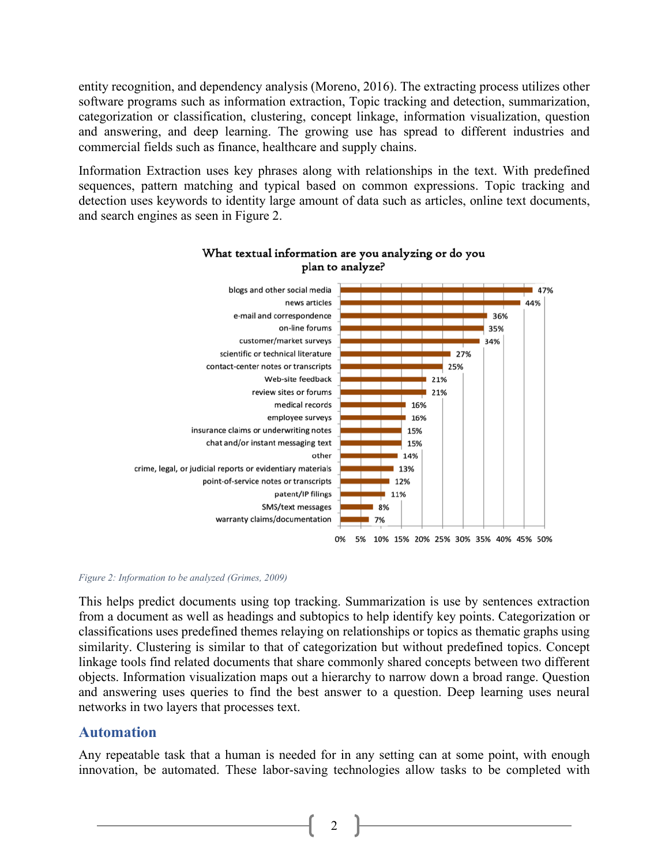entity recognition, and dependency analysis (Moreno, 2016). The extracting process utilizes other software programs such as information extraction, Topic tracking and detection, summarization, categorization or classification, clustering, concept linkage, information visualization, question and answering, and deep learning. The growing use has spread to different industries and commercial fields such as finance, healthcare and supply chains.

Information Extraction uses key phrases along with relationships in the text. With predefined sequences, pattern matching and typical based on common expressions. Topic tracking and detection uses keywords to identity large amount of data such as articles, online text documents, and search engines as seen in Figure 2.



#### What textual information are you analyzing or do you plan to analyze?

<span id="page-3-1"></span>*Figure 2: Information to be analyzed (Grimes, 2009)*

This helps predict documents using top tracking. Summarization is use by sentences extraction from a document as well as headings and subtopics to help identify key points. Categorization or classifications uses predefined themes relaying on relationships or topics as thematic graphs using similarity. Clustering is similar to that of categorization but without predefined topics. Concept linkage tools find related documents that share commonly shared concepts between two different objects. Information visualization maps out a hierarchy to narrow down a broad range. Question and answering uses queries to find the best answer to a question. Deep learning uses neural networks in two layers that processes text.

#### <span id="page-3-0"></span>**Automation**

Any repeatable task that a human is needed for in any setting can at some point, with enough innovation, be automated. These labor-saving technologies allow tasks to be completed with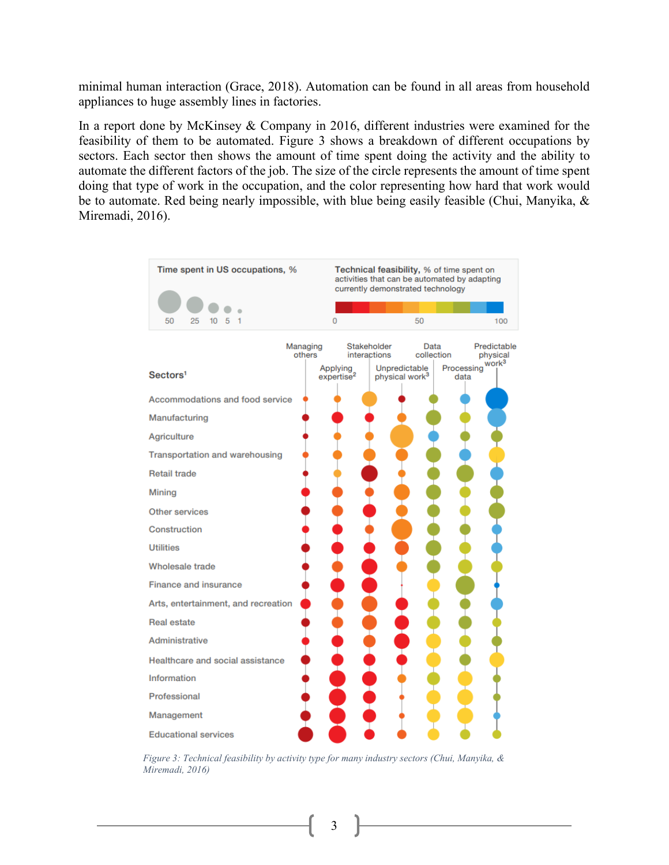minimal human interaction (Grace, 2018). Automation can be found in all areas from household appliances to huge assembly lines in factories.

In a report done by McKinsey & Company in 2016, different industries were examined for the feasibility of them to be automated. Figure 3 shows a breakdown of different occupations by sectors. Each sector then shows the amount of time spent doing the activity and the ability to automate the different factors of the job. The size of the circle represents the amount of time spent doing that type of work in the occupation, and the color representing how hard that work would be to automate. Red being nearly impossible, with blue being easily feasible (Chui, Manyika, & Miremadi, 2016).



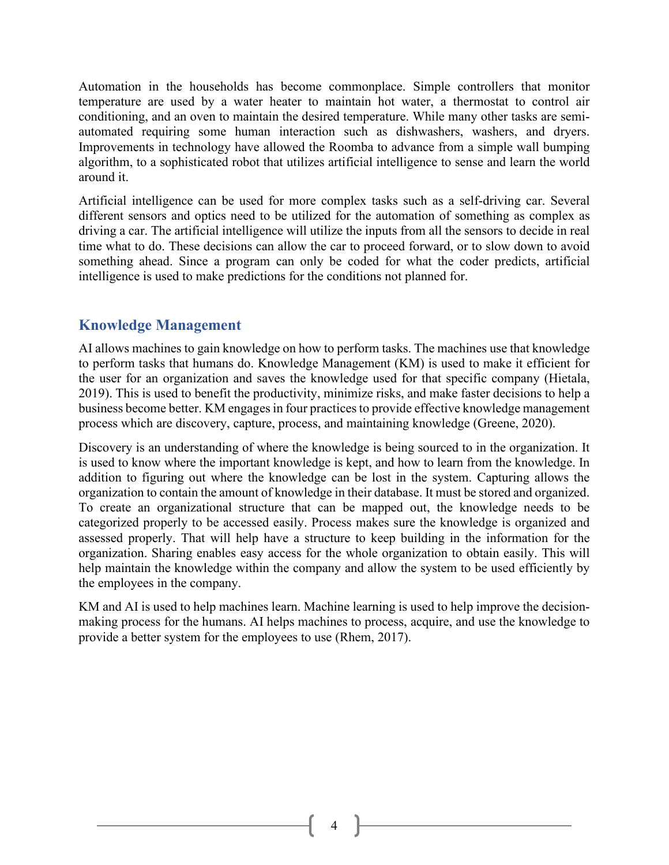Automation in the households has become commonplace. Simple controllers that monitor temperature are used by a water heater to maintain hot water, a thermostat to control air conditioning, and an oven to maintain the desired temperature. While many other tasks are semiautomated requiring some human interaction such as dishwashers, washers, and dryers. Improvements in technology have allowed the Roomba to advance from a simple wall bumping algorithm, to a sophisticated robot that utilizes artificial intelligence to sense and learn the world around it.

Artificial intelligence can be used for more complex tasks such as a self-driving car. Several different sensors and optics need to be utilized for the automation of something as complex as driving a car. The artificial intelligence will utilize the inputs from all the sensors to decide in real time what to do. These decisions can allow the car to proceed forward, or to slow down to avoid something ahead. Since a program can only be coded for what the coder predicts, artificial intelligence is used to make predictions for the conditions not planned for.

#### <span id="page-5-0"></span>**Knowledge Management**

AI allows machines to gain knowledge on how to perform tasks. The machines use that knowledge to perform tasks that humans do. Knowledge Management (KM) is used to make it efficient for the user for an organization and saves the knowledge used for that specific company (Hietala, 2019). This is used to benefit the productivity, minimize risks, and make faster decisions to help a business become better. KM engages in four practices to provide effective knowledge management process which are discovery, capture, process, and maintaining knowledge (Greene, 2020).

Discovery is an understanding of where the knowledge is being sourced to in the organization. It is used to know where the important knowledge is kept, and how to learn from the knowledge. In addition to figuring out where the knowledge can be lost in the system. Capturing allows the organization to contain the amount of knowledge in their database. It must be stored and organized. To create an organizational structure that can be mapped out, the knowledge needs to be categorized properly to be accessed easily. Process makes sure the knowledge is organized and assessed properly. That will help have a structure to keep building in the information for the organization. Sharing enables easy access for the whole organization to obtain easily. This will help maintain the knowledge within the company and allow the system to be used efficiently by the employees in the company.

KM and AI is used to help machines learn. Machine learning is used to help improve the decisionmaking process for the humans. AI helps machines to process, acquire, and use the knowledge to provide a better system for the employees to use (Rhem, 2017).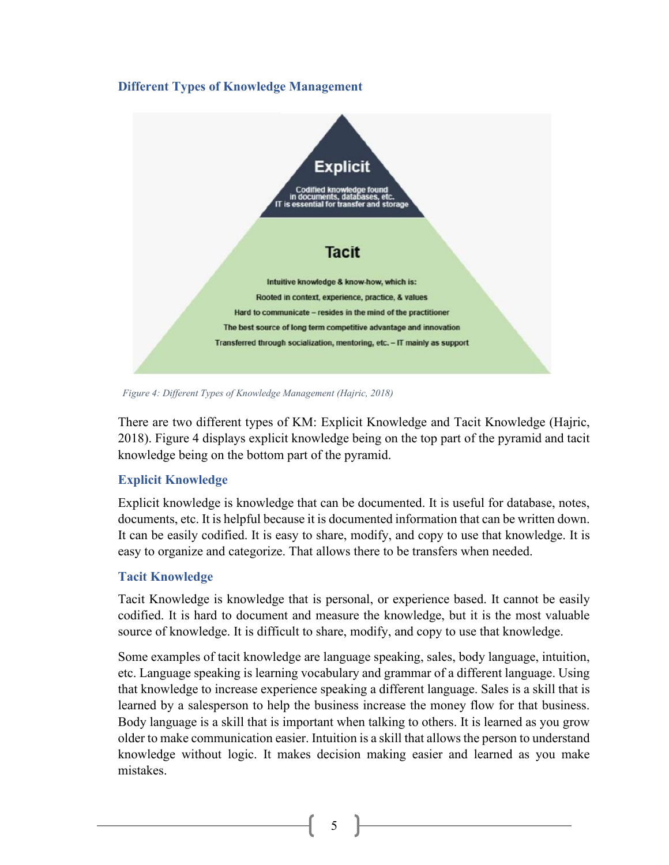#### <span id="page-6-0"></span>**Different Types of Knowledge Management**



*Figure 4: Different Types of Knowledge Management (Hajric, 2018)*

There are two different types of KM: Explicit Knowledge and Tacit Knowledge (Hajric, 2018). Figure 4 displays explicit knowledge being on the top part of the pyramid and tacit knowledge being on the bottom part of the pyramid.

#### <span id="page-6-1"></span>**Explicit Knowledge**

Explicit knowledge is knowledge that can be documented. It is useful for database, notes, documents, etc. It is helpful because it is documented information that can be written down. It can be easily codified. It is easy to share, modify, and copy to use that knowledge. It is easy to organize and categorize. That allows there to be transfers when needed.

#### <span id="page-6-2"></span>**Tacit Knowledge**

Tacit Knowledge is knowledge that is personal, or experience based. It cannot be easily codified. It is hard to document and measure the knowledge, but it is the most valuable source of knowledge. It is difficult to share, modify, and copy to use that knowledge.

Some examples of tacit knowledge are language speaking, sales, body language, intuition, etc. Language speaking is learning vocabulary and grammar of a different language. Using that knowledge to increase experience speaking a different language. Sales is a skill that is learned by a salesperson to help the business increase the money flow for that business. Body language is a skill that is important when talking to others. It is learned as you grow older to make communication easier. Intuition is a skill that allows the person to understand knowledge without logic. It makes decision making easier and learned as you make mistakes.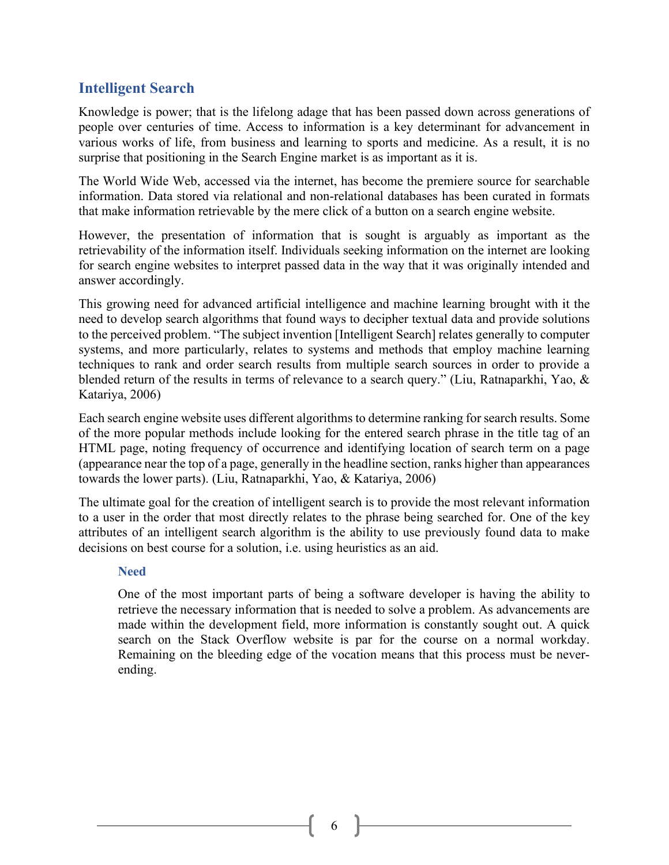#### <span id="page-7-0"></span>**Intelligent Search**

Knowledge is power; that is the lifelong adage that has been passed down across generations of people over centuries of time. Access to information is a key determinant for advancement in various works of life, from business and learning to sports and medicine. As a result, it is no surprise that positioning in the Search Engine market is as important as it is.

The World Wide Web, accessed via the internet, has become the premiere source for searchable information. Data stored via relational and non-relational databases has been curated in formats that make information retrievable by the mere click of a button on a search engine website.

However, the presentation of information that is sought is arguably as important as the retrievability of the information itself. Individuals seeking information on the internet are looking for search engine websites to interpret passed data in the way that it was originally intended and answer accordingly.

This growing need for advanced artificial intelligence and machine learning brought with it the need to develop search algorithms that found ways to decipher textual data and provide solutions to the perceived problem. "The subject invention [Intelligent Search] relates generally to computer systems, and more particularly, relates to systems and methods that employ machine learning techniques to rank and order search results from multiple search sources in order to provide a blended return of the results in terms of relevance to a search query." (Liu, Ratnaparkhi, Yao, & Katariya, 2006)

Each search engine website uses different algorithms to determine ranking for search results. Some of the more popular methods include looking for the entered search phrase in the title tag of an HTML page, noting frequency of occurrence and identifying location of search term on a page (appearance near the top of a page, generally in the headline section, ranks higher than appearances towards the lower parts). (Liu, Ratnaparkhi, Yao, & Katariya, 2006)

The ultimate goal for the creation of intelligent search is to provide the most relevant information to a user in the order that most directly relates to the phrase being searched for. One of the key attributes of an intelligent search algorithm is the ability to use previously found data to make decisions on best course for a solution, i.e. using heuristics as an aid.

#### <span id="page-7-1"></span>**Need**

One of the most important parts of being a software developer is having the ability to retrieve the necessary information that is needed to solve a problem. As advancements are made within the development field, more information is constantly sought out. A quick search on the Stack Overflow website is par for the course on a normal workday. Remaining on the bleeding edge of the vocation means that this process must be neverending.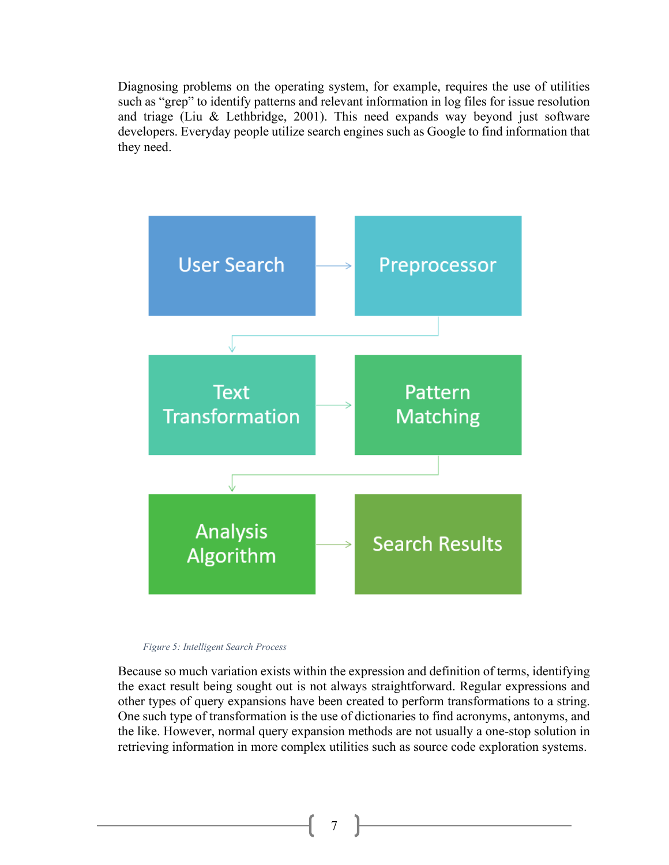Diagnosing problems on the operating system, for example, requires the use of utilities such as "grep" to identify patterns and relevant information in log files for issue resolution and triage (Liu & Lethbridge, 2001). This need expands way beyond just software developers. Everyday people utilize search engines such as Google to find information that they need.



*Figure 5: Intelligent Search Process*

Because so much variation exists within the expression and definition of terms, identifying the exact result being sought out is not always straightforward. Regular expressions and other types of query expansions have been created to perform transformations to a string. One such type of transformation is the use of dictionaries to find acronyms, antonyms, and the like. However, normal query expansion methods are not usually a one-stop solution in retrieving information in more complex utilities such as source code exploration systems.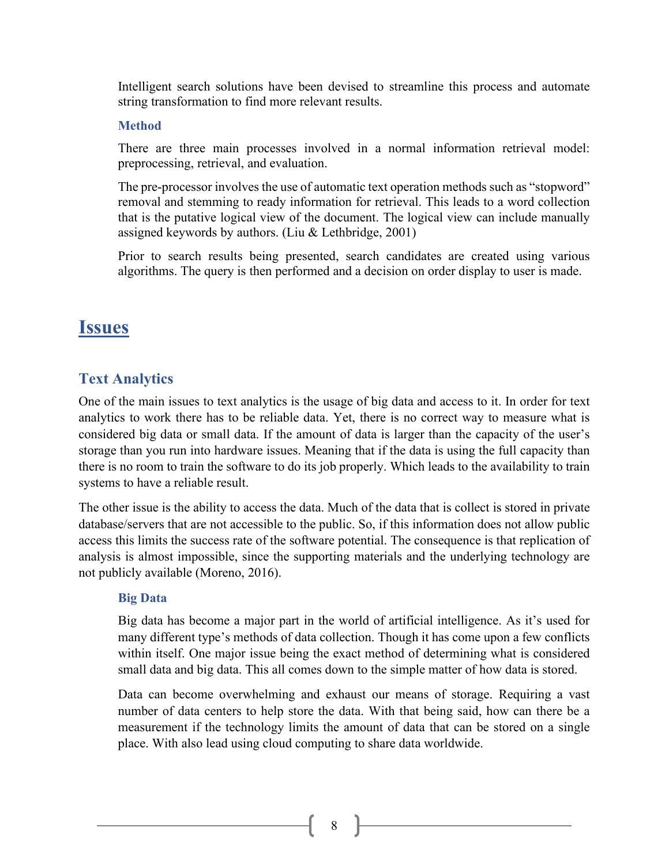Intelligent search solutions have been devised to streamline this process and automate string transformation to find more relevant results.

#### <span id="page-9-0"></span>**Method**

There are three main processes involved in a normal information retrieval model: preprocessing, retrieval, and evaluation.

The pre-processor involves the use of automatic text operation methods such as "stopword" removal and stemming to ready information for retrieval. This leads to a word collection that is the putative logical view of the document. The logical view can include manually assigned keywords by authors. (Liu & Lethbridge, 2001)

Prior to search results being presented, search candidates are created using various algorithms. The query is then performed and a decision on order display to user is made.

### <span id="page-9-1"></span>**Issues**

#### <span id="page-9-2"></span>**Text Analytics**

One of the main issues to text analytics is the usage of big data and access to it. In order for text analytics to work there has to be reliable data. Yet, there is no correct way to measure what is considered big data or small data. If the amount of data is larger than the capacity of the user's storage than you run into hardware issues. Meaning that if the data is using the full capacity than there is no room to train the software to do its job properly. Which leads to the availability to train systems to have a reliable result.

The other issue is the ability to access the data. Much of the data that is collect is stored in private database/servers that are not accessible to the public. So, if this information does not allow public access this limits the success rate of the software potential. The consequence is that replication of analysis is almost impossible, since the supporting materials and the underlying technology are not publicly available (Moreno, 2016).

#### <span id="page-9-3"></span>**Big Data**

Big data has become a major part in the world of artificial intelligence. As it's used for many different type's methods of data collection. Though it has come upon a few conflicts within itself. One major issue being the exact method of determining what is considered small data and big data. This all comes down to the simple matter of how data is stored.

Data can become overwhelming and exhaust our means of storage. Requiring a vast number of data centers to help store the data. With that being said, how can there be a measurement if the technology limits the amount of data that can be stored on a single place. With also lead using cloud computing to share data worldwide.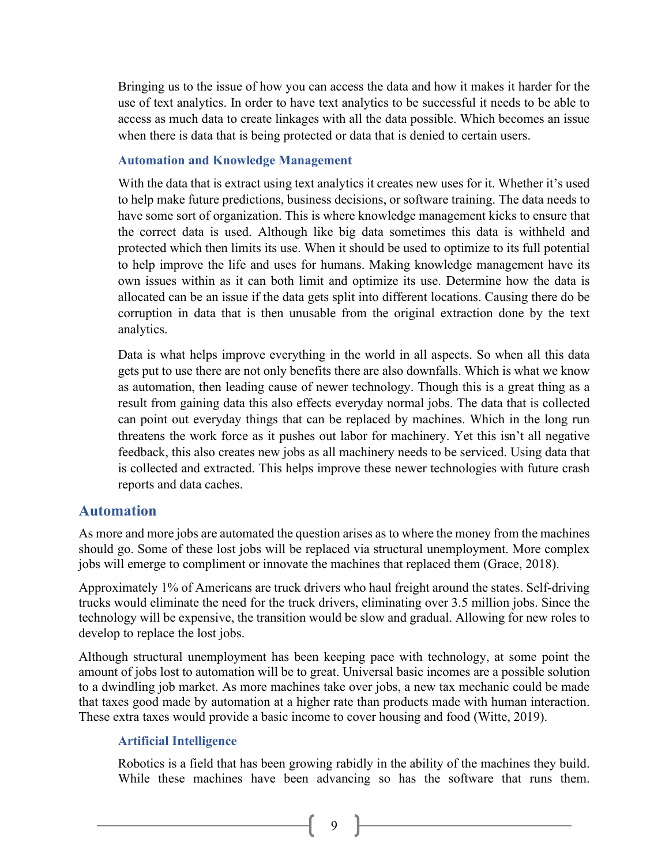Bringing us to the issue of how you can access the data and how it makes it harder for the use of text analytics. In order to have text analytics to be successful it needs to be able to access as much data to create linkages with all the data possible. Which becomes an issue when there is data that is being protected or data that is denied to certain users.

#### <span id="page-10-0"></span>**Automation and Knowledge Management**

With the data that is extract using text analytics it creates new uses for it. Whether it's used to help make future predictions, business decisions, or software training. The data needs to have some sort of organization. This is where knowledge management kicks to ensure that the correct data is used. Although like big data sometimes this data is withheld and protected which then limits its use. When it should be used to optimize to its full potential to help improve the life and uses for humans. Making knowledge management have its own issues within as it can both limit and optimize its use. Determine how the data is allocated can be an issue if the data gets split into different locations. Causing there do be corruption in data that is then unusable from the original extraction done by the text analytics.

Data is what helps improve everything in the world in all aspects. So when all this data gets put to use there are not only benefits there are also downfalls. Which is what we know as automation, then leading cause of newer technology. Though this is a great thing as a result from gaining data this also effects everyday normal jobs. The data that is collected can point out everyday things that can be replaced by machines. Which in the long run threatens the work force as it pushes out labor for machinery. Yet this isn't all negative feedback, this also creates new jobs as all machinery needs to be serviced. Using data that is collected and extracted. This helps improve these newer technologies with future crash reports and data caches.

#### <span id="page-10-1"></span>**Automation**

As more and more jobs are automated the question arises as to where the money from the machines should go. Some of these lost jobs will be replaced via structural unemployment. More complex jobs will emerge to compliment or innovate the machines that replaced them (Grace, 2018).

Approximately 1% of Americans are truck drivers who haul freight around the states. Self-driving trucks would eliminate the need for the truck drivers, eliminating over 3.5 million jobs. Since the technology will be expensive, the transition would be slow and gradual. Allowing for new roles to develop to replace the lost jobs.

Although structural unemployment has been keeping pace with technology, at some point the amount of jobs lost to automation will be to great. Universal basic incomes are a possible solution to a dwindling job market. As more machines take over jobs, a new tax mechanic could be made that taxes good made by automation at a higher rate than products made with human interaction. These extra taxes would provide a basic income to cover housing and food (Witte, 2019).

#### <span id="page-10-2"></span>**Artificial Intelligence**

Robotics is a field that has been growing rabidly in the ability of the machines they build. While these machines have been advancing so has the software that runs them.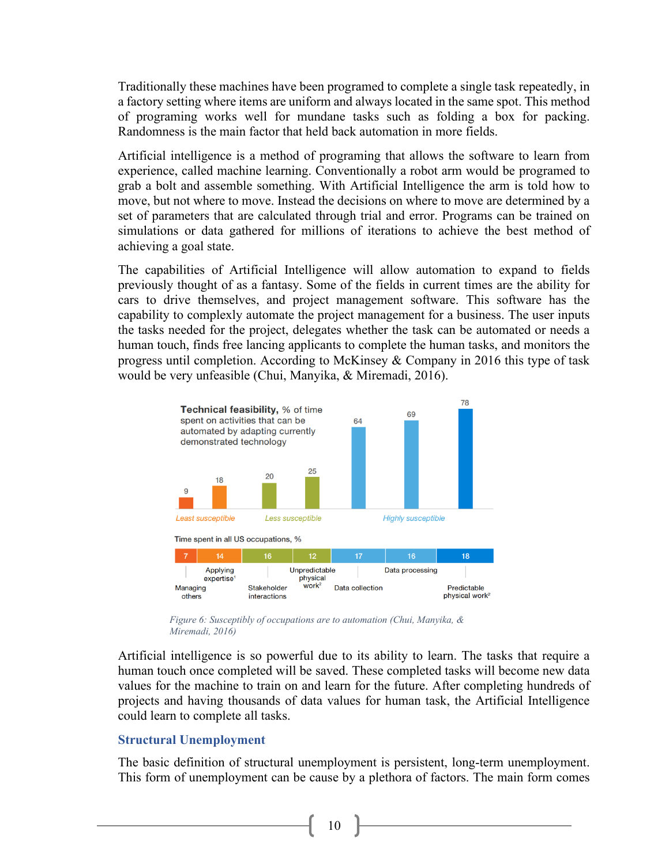Traditionally these machines have been programed to complete a single task repeatedly, in a factory setting where items are uniform and always located in the same spot. This method of programing works well for mundane tasks such as folding a box for packing. Randomness is the main factor that held back automation in more fields.

Artificial intelligence is a method of programing that allows the software to learn from experience, called machine learning. Conventionally a robot arm would be programed to grab a bolt and assemble something. With Artificial Intelligence the arm is told how to move, but not where to move. Instead the decisions on where to move are determined by a set of parameters that are calculated through trial and error. Programs can be trained on simulations or data gathered for millions of iterations to achieve the best method of achieving a goal state.

The capabilities of Artificial Intelligence will allow automation to expand to fields previously thought of as a fantasy. Some of the fields in current times are the ability for cars to drive themselves, and project management software. This software has the capability to complexly automate the project management for a business. The user inputs the tasks needed for the project, delegates whether the task can be automated or needs a human touch, finds free lancing applicants to complete the human tasks, and monitors the progress until completion. According to McKinsey & Company in 2016 this type of task would be very unfeasible (Chui, Manyika, & Miremadi, 2016).



*Figure 6: Susceptibly of occupations are to automation (Chui, Manyika, & Miremadi, 2016)*

Artificial intelligence is so powerful due to its ability to learn. The tasks that require a human touch once completed will be saved. These completed tasks will become new data values for the machine to train on and learn for the future. After completing hundreds of projects and having thousands of data values for human task, the Artificial Intelligence could learn to complete all tasks.

#### <span id="page-11-0"></span>**Structural Unemployment**

The basic definition of structural unemployment is persistent, long-term unemployment. This form of unemployment can be cause by a plethora of factors. The main form comes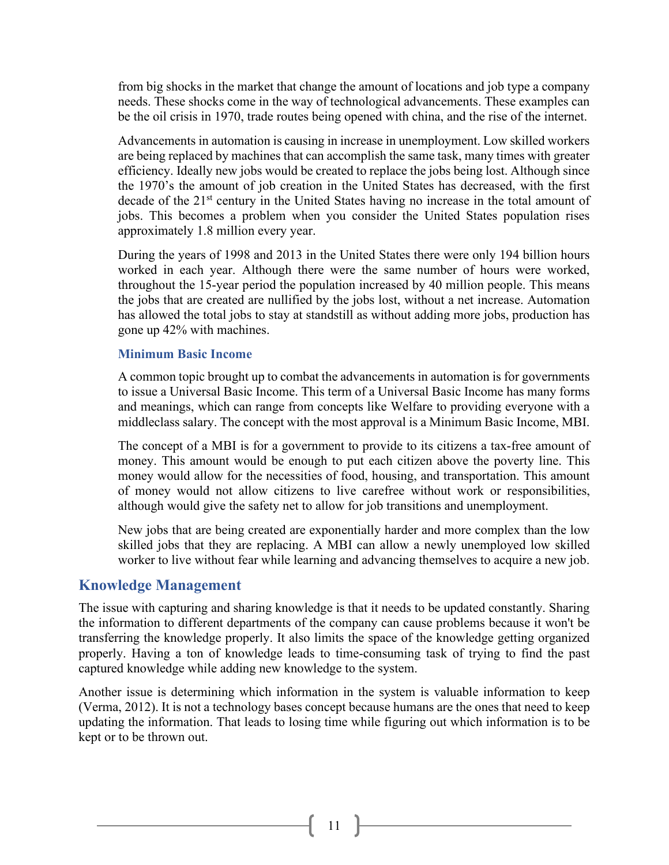from big shocks in the market that change the amount of locations and job type a company needs. These shocks come in the way of technological advancements. These examples can be the oil crisis in 1970, trade routes being opened with china, and the rise of the internet.

Advancements in automation is causing in increase in unemployment. Low skilled workers are being replaced by machines that can accomplish the same task, many times with greater efficiency. Ideally new jobs would be created to replace the jobs being lost. Although since the 1970's the amount of job creation in the United States has decreased, with the first decade of the 21<sup>st</sup> century in the United States having no increase in the total amount of jobs. This becomes a problem when you consider the United States population rises approximately 1.8 million every year.

During the years of 1998 and 2013 in the United States there were only 194 billion hours worked in each year. Although there were the same number of hours were worked, throughout the 15-year period the population increased by 40 million people. This means the jobs that are created are nullified by the jobs lost, without a net increase. Automation has allowed the total jobs to stay at standstill as without adding more jobs, production has gone up 42% with machines.

#### <span id="page-12-0"></span>**Minimum Basic Income**

A common topic brought up to combat the advancements in automation is for governments to issue a Universal Basic Income. This term of a Universal Basic Income has many forms and meanings, which can range from concepts like Welfare to providing everyone with a middleclass salary. The concept with the most approval is a Minimum Basic Income, MBI.

The concept of a MBI is for a government to provide to its citizens a tax-free amount of money. This amount would be enough to put each citizen above the poverty line. This money would allow for the necessities of food, housing, and transportation. This amount of money would not allow citizens to live carefree without work or responsibilities, although would give the safety net to allow for job transitions and unemployment.

New jobs that are being created are exponentially harder and more complex than the low skilled jobs that they are replacing. A MBI can allow a newly unemployed low skilled worker to live without fear while learning and advancing themselves to acquire a new job.

#### <span id="page-12-1"></span>**Knowledge Management**

The issue with capturing and sharing knowledge is that it needs to be updated constantly. Sharing the information to different departments of the company can cause problems because it won't be transferring the knowledge properly. It also limits the space of the knowledge getting organized properly. Having a ton of knowledge leads to time-consuming task of trying to find the past captured knowledge while adding new knowledge to the system.

Another issue is determining which information in the system is valuable information to keep (Verma, 2012). It is not a technology bases concept because humans are the ones that need to keep updating the information. That leads to losing time while figuring out which information is to be kept or to be thrown out.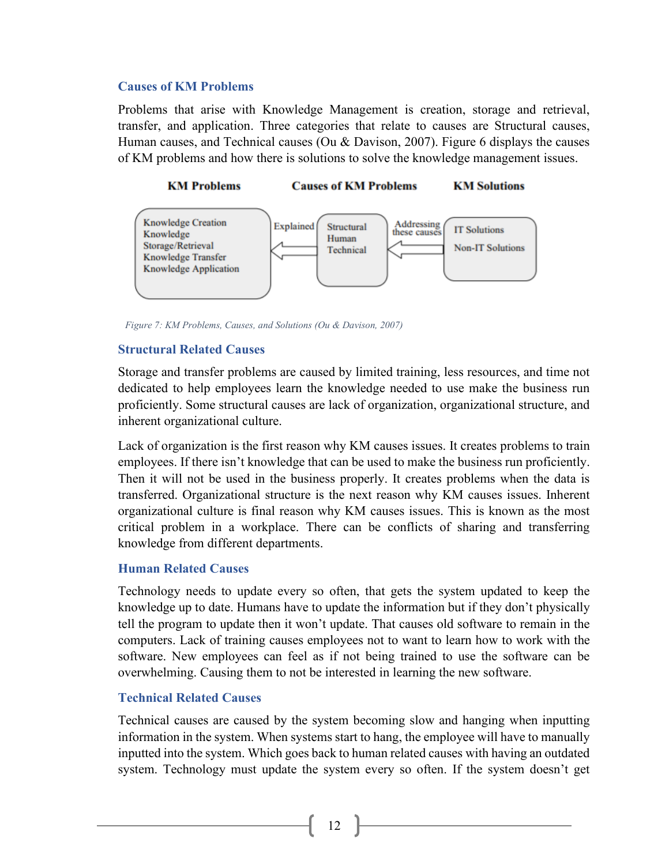#### <span id="page-13-0"></span>**Causes of KM Problems**

Problems that arise with Knowledge Management is creation, storage and retrieval, transfer, and application. Three categories that relate to causes are Structural causes, Human causes, and Technical causes (Ou & Davison, 2007). Figure 6 displays the causes of KM problems and how there is solutions to solve the knowledge management issues.



*Figure 7: KM Problems, Causes, and Solutions (Ou & Davison, 2007)*

#### <span id="page-13-1"></span>**Structural Related Causes**

Storage and transfer problems are caused by limited training, less resources, and time not dedicated to help employees learn the knowledge needed to use make the business run proficiently. Some structural causes are lack of organization, organizational structure, and inherent organizational culture.

Lack of organization is the first reason why KM causes issues. It creates problems to train employees. If there isn't knowledge that can be used to make the business run proficiently. Then it will not be used in the business properly. It creates problems when the data is transferred. Organizational structure is the next reason why KM causes issues. Inherent organizational culture is final reason why KM causes issues. This is known as the most critical problem in a workplace. There can be conflicts of sharing and transferring knowledge from different departments.

#### <span id="page-13-2"></span>**Human Related Causes**

Technology needs to update every so often, that gets the system updated to keep the knowledge up to date. Humans have to update the information but if they don't physically tell the program to update then it won't update. That causes old software to remain in the computers. Lack of training causes employees not to want to learn how to work with the software. New employees can feel as if not being trained to use the software can be overwhelming. Causing them to not be interested in learning the new software.

#### <span id="page-13-3"></span>**Technical Related Causes**

Technical causes are caused by the system becoming slow and hanging when inputting information in the system. When systems start to hang, the employee will have to manually inputted into the system. Which goes back to human related causes with having an outdated system. Technology must update the system every so often. If the system doesn't get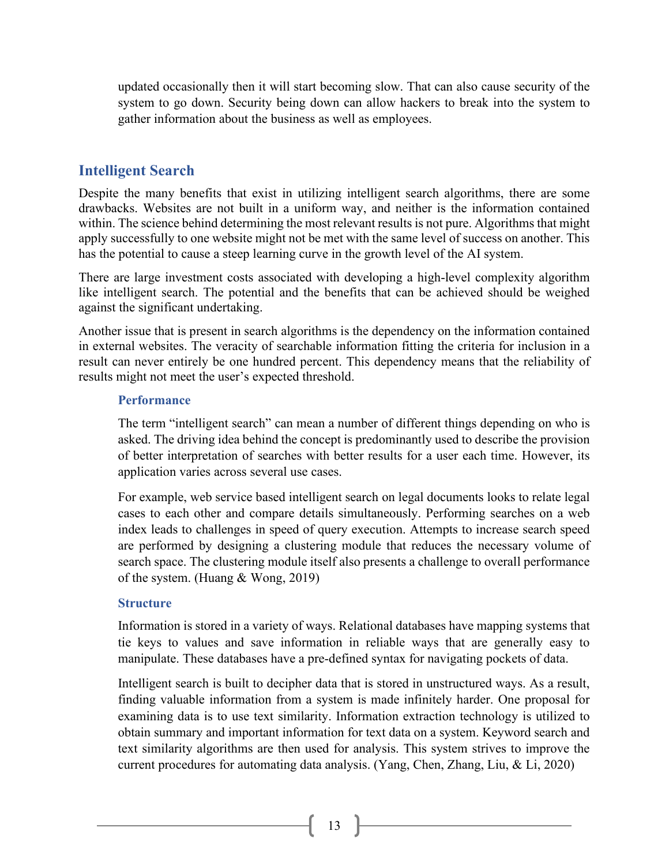updated occasionally then it will start becoming slow. That can also cause security of the system to go down. Security being down can allow hackers to break into the system to gather information about the business as well as employees.

#### <span id="page-14-0"></span>**Intelligent Search**

Despite the many benefits that exist in utilizing intelligent search algorithms, there are some drawbacks. Websites are not built in a uniform way, and neither is the information contained within. The science behind determining the most relevant results is not pure. Algorithms that might apply successfully to one website might not be met with the same level of success on another. This has the potential to cause a steep learning curve in the growth level of the AI system.

There are large investment costs associated with developing a high-level complexity algorithm like intelligent search. The potential and the benefits that can be achieved should be weighed against the significant undertaking.

Another issue that is present in search algorithms is the dependency on the information contained in external websites. The veracity of searchable information fitting the criteria for inclusion in a result can never entirely be one hundred percent. This dependency means that the reliability of results might not meet the user's expected threshold.

#### <span id="page-14-1"></span>**Performance**

The term "intelligent search" can mean a number of different things depending on who is asked. The driving idea behind the concept is predominantly used to describe the provision of better interpretation of searches with better results for a user each time. However, its application varies across several use cases.

For example, web service based intelligent search on legal documents looks to relate legal cases to each other and compare details simultaneously. Performing searches on a web index leads to challenges in speed of query execution. Attempts to increase search speed are performed by designing a clustering module that reduces the necessary volume of search space. The clustering module itself also presents a challenge to overall performance of the system. (Huang & Wong, 2019)

#### <span id="page-14-2"></span>**Structure**

Information is stored in a variety of ways. Relational databases have mapping systems that tie keys to values and save information in reliable ways that are generally easy to manipulate. These databases have a pre-defined syntax for navigating pockets of data.

Intelligent search is built to decipher data that is stored in unstructured ways. As a result, finding valuable information from a system is made infinitely harder. One proposal for examining data is to use text similarity. Information extraction technology is utilized to obtain summary and important information for text data on a system. Keyword search and text similarity algorithms are then used for analysis. This system strives to improve the current procedures for automating data analysis. (Yang, Chen, Zhang, Liu, & Li, 2020)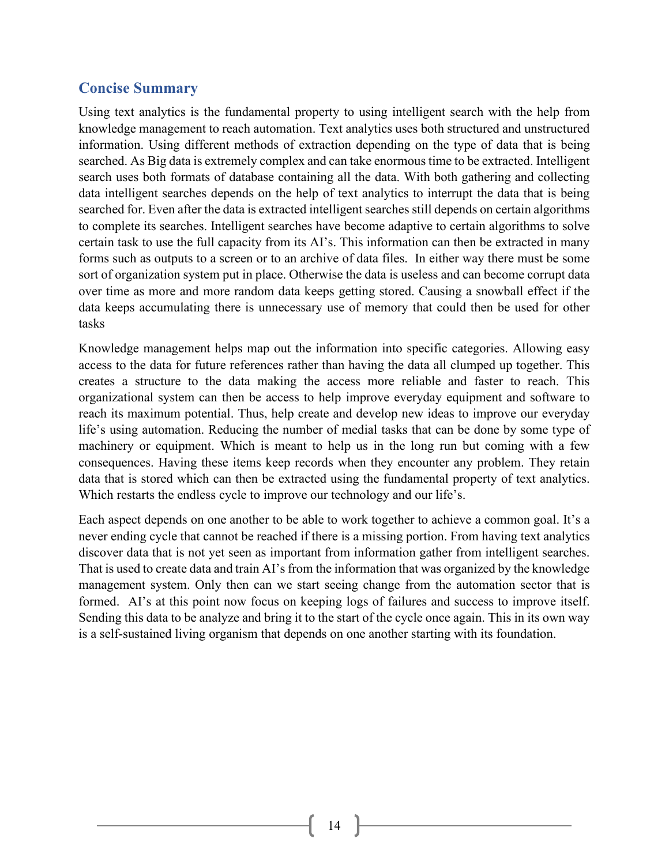#### <span id="page-15-0"></span>**Concise Summary**

Using text analytics is the fundamental property to using intelligent search with the help from knowledge management to reach automation. Text analytics uses both structured and unstructured information. Using different methods of extraction depending on the type of data that is being searched. As Big data is extremely complex and can take enormous time to be extracted. Intelligent search uses both formats of database containing all the data. With both gathering and collecting data intelligent searches depends on the help of text analytics to interrupt the data that is being searched for. Even after the data is extracted intelligent searches still depends on certain algorithms to complete its searches. Intelligent searches have become adaptive to certain algorithms to solve certain task to use the full capacity from its AI's. This information can then be extracted in many forms such as outputs to a screen or to an archive of data files. In either way there must be some sort of organization system put in place. Otherwise the data is useless and can become corrupt data over time as more and more random data keeps getting stored. Causing a snowball effect if the data keeps accumulating there is unnecessary use of memory that could then be used for other tasks

Knowledge management helps map out the information into specific categories. Allowing easy access to the data for future references rather than having the data all clumped up together. This creates a structure to the data making the access more reliable and faster to reach. This organizational system can then be access to help improve everyday equipment and software to reach its maximum potential. Thus, help create and develop new ideas to improve our everyday life's using automation. Reducing the number of medial tasks that can be done by some type of machinery or equipment. Which is meant to help us in the long run but coming with a few consequences. Having these items keep records when they encounter any problem. They retain data that is stored which can then be extracted using the fundamental property of text analytics. Which restarts the endless cycle to improve our technology and our life's.

Each aspect depends on one another to be able to work together to achieve a common goal. It's a never ending cycle that cannot be reached if there is a missing portion. From having text analytics discover data that is not yet seen as important from information gather from intelligent searches. That is used to create data and train AI's from the information that was organized by the knowledge management system. Only then can we start seeing change from the automation sector that is formed. AI's at this point now focus on keeping logs of failures and success to improve itself. Sending this data to be analyze and bring it to the start of the cycle once again. This in its own way is a self-sustained living organism that depends on one another starting with its foundation.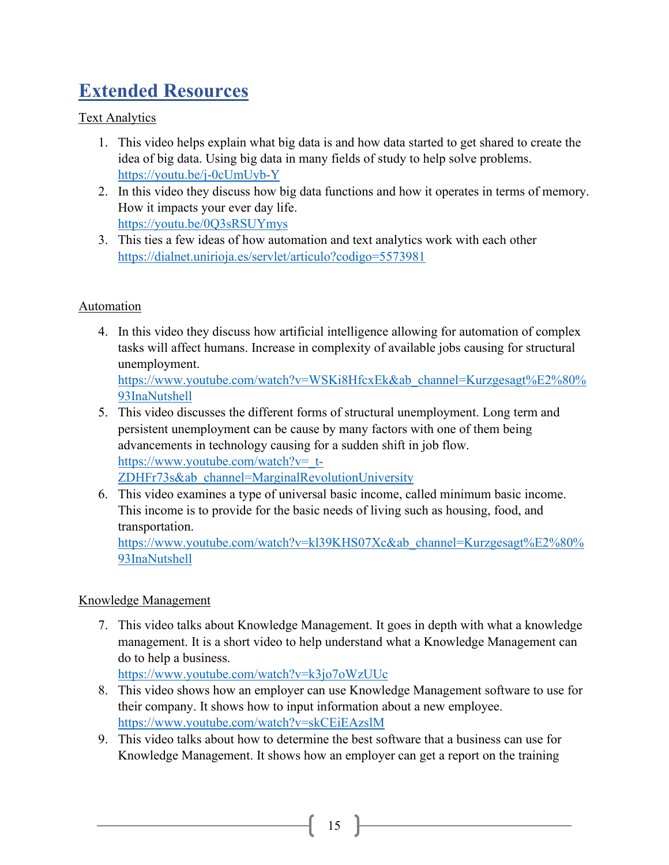## <span id="page-16-0"></span>**Extended Resources**

#### Text Analytics

- 1. This video helps explain what big data is and how data started to get shared to create the idea of big data. Using big data in many fields of study to help solve problems. <https://youtu.be/j-0cUmUyb-Y>
- 2. In this video they discuss how big data functions and how it operates in terms of memory. How it impacts your ever day life. <https://youtu.be/0Q3sRSUYmys>
- 3. This ties a few ideas of how automation and text analytics work with each other <https://dialnet.unirioja.es/servlet/articulo?codigo=5573981>

#### Automation

4. In this video they discuss how artificial intelligence allowing for automation of complex tasks will affect humans. Increase in complexity of available jobs causing for structural unemployment. [https://www.youtube.com/watch?v=WSKi8HfcxEk&ab\\_channel=Kurzgesagt%E2%80%](https://www.youtube.com/watch?v=WSKi8HfcxEk&ab_channel=Kurzgesagt%E2%80%93InaNutshell)

[93InaNutshell](https://www.youtube.com/watch?v=WSKi8HfcxEk&ab_channel=Kurzgesagt%E2%80%93InaNutshell)

- 5. This video discusses the different forms of structural unemployment. Long term and persistent unemployment can be cause by many factors with one of them being advancements in technology causing for a sudden shift in job flow. [https://www.youtube.com/watch?v=\\_t-](https://www.youtube.com/watch?v=_t-ZDHFr73s&ab_channel=MarginalRevolutionUniversity)[ZDHFr73s&ab\\_channel=MarginalRevolutionUniversity](https://www.youtube.com/watch?v=_t-ZDHFr73s&ab_channel=MarginalRevolutionUniversity)
- 6. This video examines a type of universal basic income, called minimum basic income. This income is to provide for the basic needs of living such as housing, food, and transportation.

[https://www.youtube.com/watch?v=kl39KHS07Xc&ab\\_channel=Kurzgesagt%E2%80%](https://www.youtube.com/watch?v=kl39KHS07Xc&ab_channel=Kurzgesagt%E2%80%93InaNutshell) [93InaNutshell](https://www.youtube.com/watch?v=kl39KHS07Xc&ab_channel=Kurzgesagt%E2%80%93InaNutshell)

#### Knowledge Management

7. This video talks about Knowledge Management. It goes in depth with what a knowledge management. It is a short video to help understand what a Knowledge Management can do to help a business.

<https://www.youtube.com/watch?v=k3jo7oWzUUc>

- 8. This video shows how an employer can use Knowledge Management software to use for their company. It shows how to input information about a new employee. <https://www.youtube.com/watch?v=skCEiEAzslM>
- 9. This video talks about how to determine the best software that a business can use for Knowledge Management. It shows how an employer can get a report on the training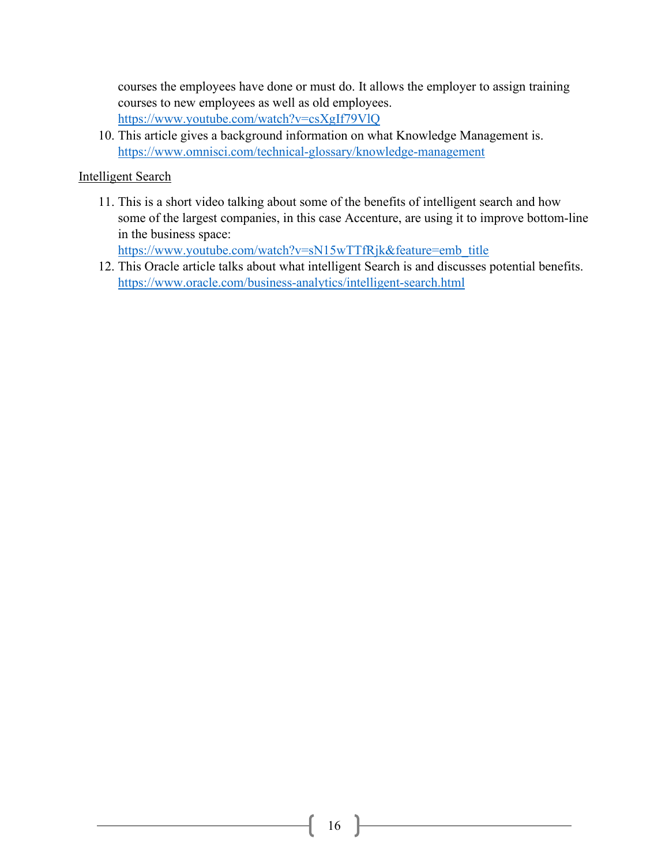courses the employees have done or must do. It allows the employer to assign training courses to new employees as well as old employees. <https://www.youtube.com/watch?v=csXgIf79VlQ>

10. This article gives a background information on what Knowledge Management is. <https://www.omnisci.com/technical-glossary/knowledge-management>

#### Intelligent Search

11. This is a short video talking about some of the benefits of intelligent search and how some of the largest companies, in this case Accenture, are using it to improve bottom-line in the business space:

[https://www.youtube.com/watch?v=sN15wTTfRjk&feature=emb\\_title](https://www.youtube.com/watch?v=sN15wTTfRjk&feature=emb_title)

12. This Oracle article talks about what intelligent Search is and discusses potential benefits. <https://www.oracle.com/business-analytics/intelligent-search.html>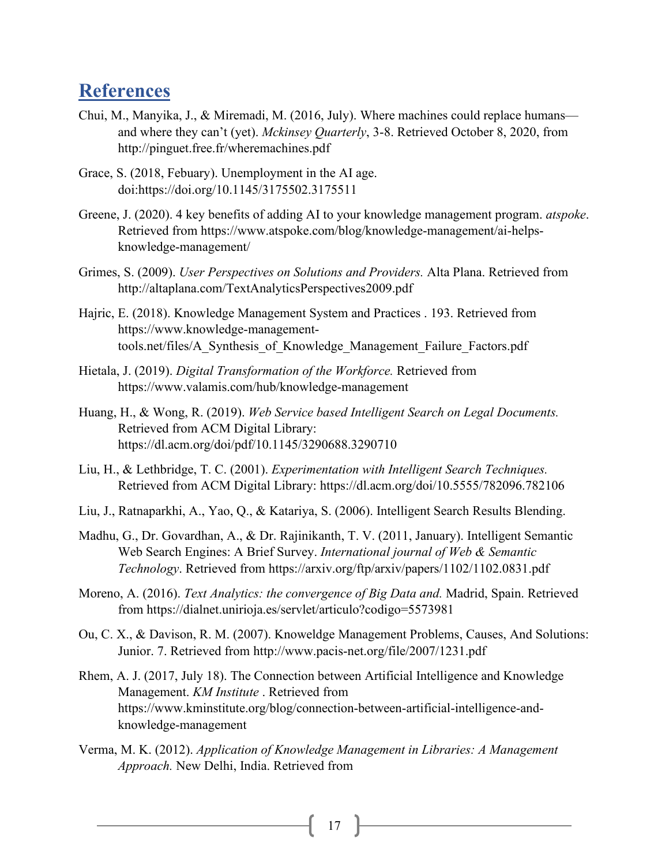### <span id="page-18-0"></span>**References**

- Chui, M., Manyika, J., & Miremadi, M. (2016, July). Where machines could replace humans and where they can't (yet). *Mckinsey Quarterly*, 3-8. Retrieved October 8, 2020, from http://pinguet.free.fr/wheremachines.pdf
- Grace, S. (2018, Febuary). Unemployment in the AI age. doi:https://doi.org/10.1145/3175502.3175511
- Greene, J. (2020). 4 key benefits of adding AI to your knowledge management program. *atspoke*. Retrieved from https://www.atspoke.com/blog/knowledge-management/ai-helpsknowledge-management/
- Grimes, S. (2009). *User Perspectives on Solutions and Providers.* Alta Plana. Retrieved from http://altaplana.com/TextAnalyticsPerspectives2009.pdf
- Hajric, E. (2018). Knowledge Management System and Practices . 193. Retrieved from https://www.knowledge-managementtools.net/files/A\_Synthesis\_of\_Knowledge\_Management\_Failure\_Factors.pdf
- Hietala, J. (2019). *Digital Transformation of the Workforce.* Retrieved from https://www.valamis.com/hub/knowledge-management
- Huang, H., & Wong, R. (2019). *Web Service based Intelligent Search on Legal Documents.* Retrieved from ACM Digital Library: https://dl.acm.org/doi/pdf/10.1145/3290688.3290710
- Liu, H., & Lethbridge, T. C. (2001). *Experimentation with Intelligent Search Techniques.* Retrieved from ACM Digital Library: https://dl.acm.org/doi/10.5555/782096.782106
- Liu, J., Ratnaparkhi, A., Yao, Q., & Katariya, S. (2006). Intelligent Search Results Blending.
- Madhu, G., Dr. Govardhan, A., & Dr. Rajinikanth, T. V. (2011, January). Intelligent Semantic Web Search Engines: A Brief Survey. *International journal of Web & Semantic Technology*. Retrieved from https://arxiv.org/ftp/arxiv/papers/1102/1102.0831.pdf
- Moreno, A. (2016). *Text Analytics: the convergence of Big Data and.* Madrid, Spain. Retrieved from https://dialnet.unirioja.es/servlet/articulo?codigo=5573981
- Ou, C. X., & Davison, R. M. (2007). Knoweldge Management Problems, Causes, And Solutions: Junior. 7. Retrieved from http://www.pacis-net.org/file/2007/1231.pdf
- Rhem, A. J. (2017, July 18). The Connection between Artificial Intelligence and Knowledge Management. *KM Institute* . Retrieved from https://www.kminstitute.org/blog/connection-between-artificial-intelligence-andknowledge-management
- Verma, M. K. (2012). *Application of Knowledge Management in Libraries: A Management Approach.* New Delhi, India. Retrieved from

 $17$  }